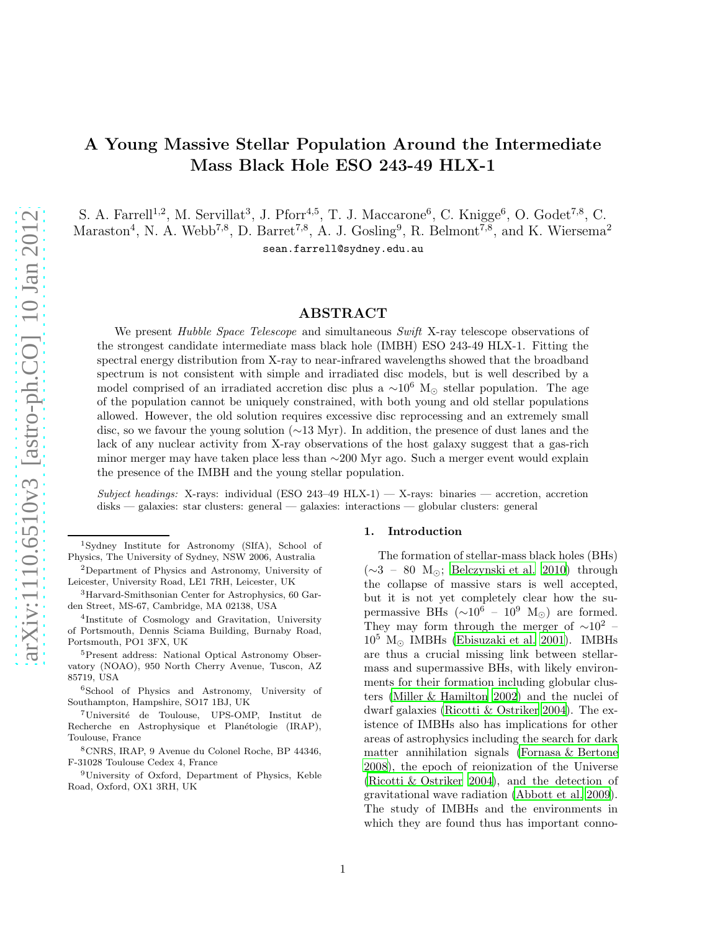# A Young Massive Stellar Population Around the Intermediate Mass Black Hole ESO 243-49 HLX-1

S. A. Farrell<sup>1,2</sup>, M. Servillat<sup>3</sup>, J. Pforr<sup>4,5</sup>, T. J. Maccarone<sup>6</sup>, C. Knigge<sup>6</sup>, O. Godet<sup>7,8</sup>, C. Maraston<sup>4</sup>, N. A. Webb<sup>7,8</sup>, D. Barret<sup>7,8</sup>, A. J. Gosling<sup>9</sup>, R. Belmont<sup>7,8</sup>, and K. Wiersema<sup>2</sup> sean.farrell@sydney.edu.au

## ABSTRACT

We present *Hubble Space Telescope* and simultaneous *Swift* X-ray telescope observations of the strongest candidate intermediate mass black hole (IMBH) ESO 243-49 HLX-1. Fitting the spectral energy distribution from X-ray to near-infrared wavelengths showed that the broadband spectrum is not consistent with simple and irradiated disc models, but is well described by a model comprised of an irradiated accretion disc plus a  $\sim 10^6$  M<sub>☉</sub> stellar population. The age of the population cannot be uniquely constrained, with both young and old stellar populations allowed. However, the old solution requires excessive disc reprocessing and an extremely small disc, so we favour the young solution (∼13 Myr). In addition, the presence of dust lanes and the lack of any nuclear activity from X-ray observations of the host galaxy suggest that a gas-rich minor merger may have taken place less than ∼200 Myr ago. Such a merger event would explain the presence of the IMBH and the young stellar population.

 $Subject \ headings: X-rays: individual (ESO 243–49 HLX-1)$  — X-rays: binaries — accretion, accretion disks — galaxies: star clusters: general — galaxies: interactions — globular clusters: general

<sup>9</sup>University of Oxford, Department of Physics, Keble Road, Oxford, OX1 3RH, UK

#### 1. Introduction

The formation of stellar-mass black holes (BHs) (∼3 – 80 M⊙; [Belczynski et al. 2010\)](#page-8-0) through the collapse of massive stars is well accepted, but it is not yet completely clear how the supermassive BHs ( $\sim 10^6 - 10^9$  M<sub>⊙</sub>) are formed. They may form through the merger of  $\sim 10^2$  –  $10^5$  M<sub> $\odot$ </sub> IMBHs [\(Ebisuzaki et al. 2001\)](#page-9-0). IMBHs are thus a crucial missing link between stellarmass and supermassive BHs, with likely environments for their formation including globular clusters [\(Miller & Hamilton 2002\)](#page-9-1) and the nuclei of dwarf galaxies [\(Ricotti & Ostriker 2004\)](#page-9-2). The existence of IMBHs also has implications for other areas of astrophysics including the search for dark matter annihilation signals [\(Fornasa & Bertone](#page-9-3) [2008\)](#page-9-3), the epoch of reionization of the Universe [\(Ricotti & Ostriker 2004\)](#page-9-2), and the detection of gravitational wave radiation [\(Abbott et al. 2009\)](#page-8-1). The study of IMBHs and the environments in which they are found thus has important conno-

<sup>1</sup>Sydney Institute for Astronomy (SIfA), School of Physics, The University of Sydney, NSW 2006, Australia

<sup>2</sup>Department of Physics and Astronomy, University of Leicester, University Road, LE1 7RH, Leicester, UK

<sup>3</sup>Harvard-Smithsonian Center for Astrophysics, 60 Garden Street, MS-67, Cambridge, MA 02138, USA

<sup>4</sup> Institute of Cosmology and Gravitation, University of Portsmouth, Dennis Sciama Building, Burnaby Road, Portsmouth, PO1 3FX, UK

<sup>5</sup>Present address: National Optical Astronomy Observatory (NOAO), 950 North Cherry Avenue, Tuscon, AZ 85719, USA

<sup>6</sup>School of Physics and Astronomy, University of Southampton, Hampshire, SO17 1BJ, UK

<sup>&</sup>lt;sup>7</sup>Université de Toulouse, UPS-OMP, Institut de Recherche en Astrophysique et Planétologie (IRAP), Toulouse, France

<sup>8</sup>CNRS, IRAP, 9 Avenue du Colonel Roche, BP 44346, F-31028 Toulouse Cedex 4, France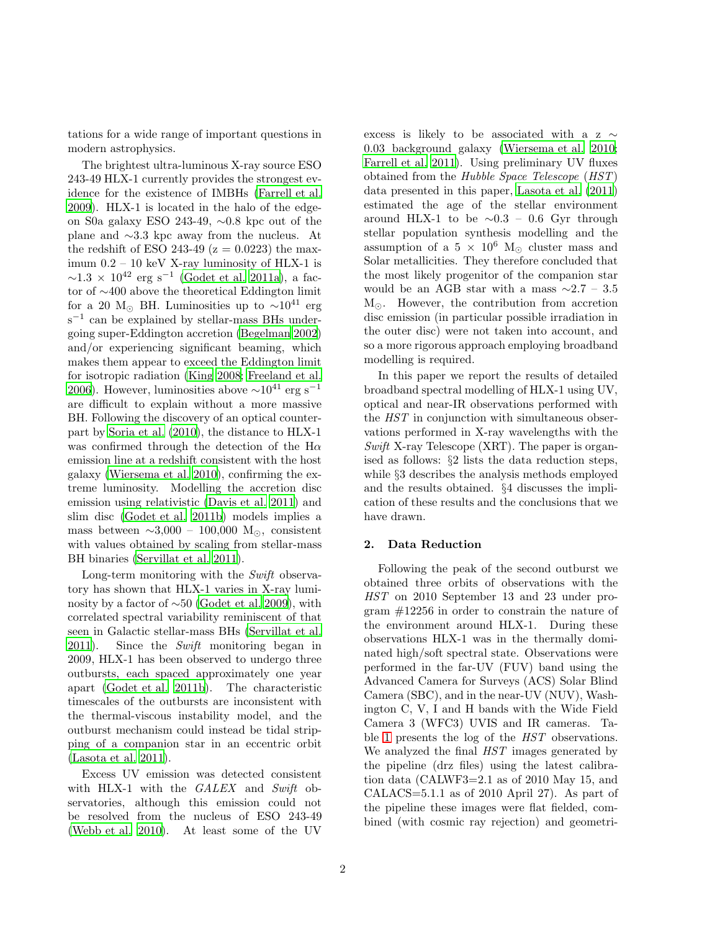tations for a wide range of important questions in modern astrophysics.

The brightest ultra-luminous X-ray source ESO 243-49 HLX-1 currently provides the strongest evidence for the existence of IMBHs [\(Farrell et al.](#page-9-4) [2009\)](#page-9-4). HLX-1 is located in the halo of the edgeon S0a galaxy ESO 243-49, ∼0.8 kpc out of the plane and ∼3.3 kpc away from the nucleus. At the redshift of ESO 243-49 ( $z = 0.0223$ ) the maximum 0.2 – 10 keV X-ray luminosity of HLX-1 is  $\sim$ 1.3 × 10<sup>42</sup> erg s<sup>-1</sup> [\(Godet et al. 2011a\)](#page-9-5), a factor of ∼400 above the theoretical Eddington limit for a 20 M<sub>☉</sub> BH. Luminosities up to  $\sim 10^{41}$  erg s<sup>-1</sup> can be explained by stellar-mass BHs undergoing super-Eddington accretion [\(Begelman 2002\)](#page-8-2) and/or experiencing significant beaming, which makes them appear to exceed the Eddington limit for isotropic radiation [\(King 2008;](#page-9-6) [Freeland et al.](#page-9-7) [2006\)](#page-9-7). However, luminosities above  $\sim 10^{41}$  erg s<sup>-1</sup> are difficult to explain without a more massive BH. Following the discovery of an optical counterpart by [Soria et al. \(2010](#page-9-8)), the distance to HLX-1 was confirmed through the detection of the H $\alpha$ emission line at a redshift consistent with the host galaxy [\(Wiersema et al. 2010\)](#page-9-9), confirming the extreme luminosity. Modelling the accretion disc emission using relativistic [\(Davis et al. 2011](#page-8-3)) and slim disc [\(Godet et al. 2011b\)](#page-9-10) models implies a mass between  $\sim$ 3,000 – 100,000 M<sub>☉</sub>, consistent with values obtained by scaling from stellar-mass BH binaries [\(Servillat et al. 2011\)](#page-9-11).

Long-term monitoring with the Swift observatory has shown that HLX-1 varies in X-ray luminosity by a factor of ∼50 [\(Godet et al. 2009\)](#page-9-12), with correlated spectral variability reminiscent of that seen in Galactic stellar-mass BHs [\(Servillat et al.](#page-9-11) [2011\)](#page-9-11). Since the Swift monitoring began in 2009, HLX-1 has been observed to undergo three outbursts, each spaced approximately one year apart [\(Godet et al. 2011b](#page-9-10)). The characteristic timescales of the outbursts are inconsistent with the thermal-viscous instability model, and the outburst mechanism could instead be tidal stripping of a companion star in an eccentric orbit [\(Lasota et al. 2011](#page-9-13)).

Excess UV emission was detected consistent with HLX-1 with the GALEX and Swift observatories, although this emission could not be resolved from the nucleus of ESO 243-49 [\(Webb et al. 2010\)](#page-9-14). At least some of the UV excess is likely to be associated with a z  $\sim$ 0.03 background galaxy [\(Wiersema et al. 2010;](#page-9-9) [Farrell et al. 2011](#page-9-15)). Using preliminary UV fluxes obtained from the Hubble Space Telescope (HST) data presented in this paper, [Lasota et al. \(2011\)](#page-9-13) estimated the age of the stellar environment around HLX-1 to be  $\sim 0.3 - 0.6$  Gyr through stellar population synthesis modelling and the assumption of a  $5 \times 10^6$  M<sub>☉</sub> cluster mass and Solar metallicities. They therefore concluded that the most likely progenitor of the companion star would be an AGB star with a mass  $\sim$ 2.7 – 3.5  $M_{\odot}$ . However, the contribution from accretion disc emission (in particular possible irradiation in the outer disc) were not taken into account, and so a more rigorous approach employing broadband modelling is required.

In this paper we report the results of detailed broadband spectral modelling of HLX-1 using UV, optical and near-IR observations performed with the HST in conjunction with simultaneous observations performed in X-ray wavelengths with the Swift X-ray Telescope  $(XRT)$ . The paper is organised as follows: §2 lists the data reduction steps, while §3 describes the analysis methods employed and the results obtained. §4 discusses the implication of these results and the conclusions that we have drawn.

## 2. Data Reduction

Following the peak of the second outburst we obtained three orbits of observations with the HST on 2010 September 13 and 23 under program #12256 in order to constrain the nature of the environment around HLX-1. During these observations HLX-1 was in the thermally dominated high/soft spectral state. Observations were performed in the far-UV (FUV) band using the Advanced Camera for Surveys (ACS) Solar Blind Camera (SBC), and in the near-UV (NUV), Washington C, V, I and H bands with the Wide Field Camera 3 (WFC3) UVIS and IR cameras. Table [1](#page-4-0) presents the log of the HST observations. We analyzed the final  $HST$  images generated by the pipeline (drz files) using the latest calibration data (CALWF3=2.1 as of 2010 May 15, and CALACS=5.1.1 as of 2010 April 27). As part of the pipeline these images were flat fielded, combined (with cosmic ray rejection) and geometri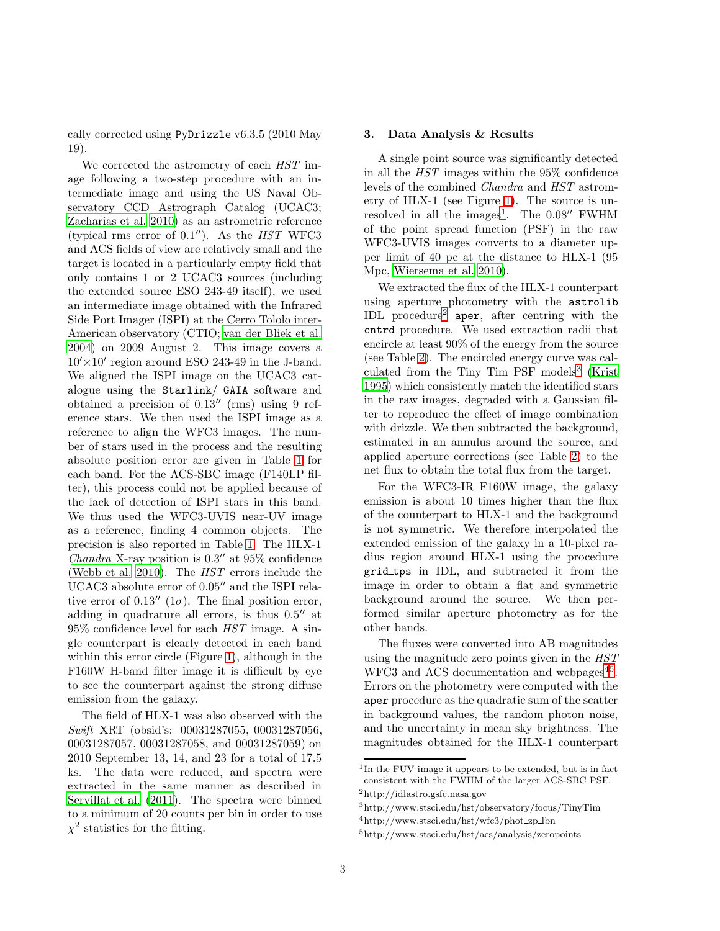cally corrected using PyDrizzle v6.3.5 (2010 May 19).

We corrected the astrometry of each  $HST$  image following a two-step procedure with an intermediate image and using the US Naval Observatory CCD Astrograph Catalog (UCAC3; [Zacharias et al. 2010\)](#page-9-16) as an astrometric reference (typical rms error of  $0.1''$ ). As the *HST* WFC3 and ACS fields of view are relatively small and the target is located in a particularly empty field that only contains 1 or 2 UCAC3 sources (including the extended source ESO 243-49 itself), we used an intermediate image obtained with the Infrared Side Port Imager (ISPI) at the Cerro Tololo inter-American observatory (CTIO; [van der Bliek et al.](#page-9-17) [2004\)](#page-9-17) on 2009 August 2. This image covers a  $10'\times10'$  region around ESO 243-49 in the J-band. We aligned the ISPI image on the UCAC3 catalogue using the Starlink/ GAIA software and obtained a precision of 0.13′′ (rms) using 9 reference stars. We then used the ISPI image as a reference to align the WFC3 images. The number of stars used in the process and the resulting absolute position error are given in Table [1](#page-4-0) for each band. For the ACS-SBC image (F140LP filter), this process could not be applied because of the lack of detection of ISPI stars in this band. We thus used the WFC3-UVIS near-UV image as a reference, finding 4 common objects. The precision is also reported in Table [1.](#page-4-0) The HLX-1 Chandra X-ray position is  $0.3''$  at  $95\%$  confidence [\(Webb et al. 2010\)](#page-9-14). The HST errors include the UCAC3 absolute error of 0.05′′ and the ISPI relative error of 0.13" ( $1\sigma$ ). The final position error, adding in quadrature all errors, is thus 0.5′′ at  $95\%$  confidence level for each  $HST$  image. A single counterpart is clearly detected in each band within this error circle (Figure [1\)](#page-3-0), although in the F160W H-band filter image it is difficult by eye to see the counterpart against the strong diffuse emission from the galaxy.

The field of HLX-1 was also observed with the Swift XRT (obsid's: 00031287055, 00031287056, 00031287057, 00031287058, and 00031287059) on 2010 September 13, 14, and 23 for a total of 17.5 ks. The data were reduced, and spectra were extracted in the same manner as described in [Servillat et al. \(2011\)](#page-9-11). The spectra were binned to a minimum of 20 counts per bin in order to use  $\chi^2$  statistics for the fitting.

### 3. Data Analysis & Results

A single point source was significantly detected in all the HST images within the 95% confidence levels of the combined Chandra and HST astrometry of HLX-1 (see Figure [1\)](#page-3-0). The source is un-resolved in all the images<sup>[1](#page-2-0)</sup>. The  $0.08''$  FWHM of the point spread function (PSF) in the raw WFC3-UVIS images converts to a diameter upper limit of 40 pc at the distance to HLX-1 (95 Mpc, [Wiersema et al. 2010\)](#page-9-9).

We extracted the flux of the HLX-1 counterpart using aperture photometry with the astrolib IDL procedure<sup>[2](#page-2-1)</sup> aper, after centring with the cntrd procedure. We used extraction radii that encircle at least 90% of the energy from the source (see Table [2\)](#page-5-0). The encircled energy curve was cal-culated from the Tiny Tim PSF models<sup>[3](#page-2-2)</sup> [\(Krist](#page-9-18) [1995\)](#page-9-18) which consistently match the identified stars in the raw images, degraded with a Gaussian filter to reproduce the effect of image combination with drizzle. We then subtracted the background, estimated in an annulus around the source, and applied aperture corrections (see Table [2\)](#page-5-0) to the net flux to obtain the total flux from the target.

For the WFC3-IR F160W image, the galaxy emission is about 10 times higher than the flux of the counterpart to HLX-1 and the background is not symmetric. We therefore interpolated the extended emission of the galaxy in a 10-pixel radius region around HLX-1 using the procedure grid tps in IDL, and subtracted it from the image in order to obtain a flat and symmetric background around the source. We then performed similar aperture photometry as for the other bands.

The fluxes were converted into AB magnitudes using the magnitude zero points given in the HST WFC3 and ACS documentation and webpages<sup>[4](#page-2-3)[5](#page-2-4)</sup>. Errors on the photometry were computed with the aper procedure as the quadratic sum of the scatter in background values, the random photon noise, and the uncertainty in mean sky brightness. The magnitudes obtained for the HLX-1 counterpart

<span id="page-2-0"></span><sup>&</sup>lt;sup>1</sup>In the FUV image it appears to be extended, but is in fact consistent with the FWHM of the larger ACS-SBC PSF. <sup>2</sup>http://idlastro.gsfc.nasa.gov

<span id="page-2-1"></span><sup>3</sup>http://www.stsci.edu/hst/observatory/focus/TinyTim

<span id="page-2-2"></span><sup>4</sup>http://www.stsci.edu/hst/wfc3/phot zp lbn

<span id="page-2-4"></span><span id="page-2-3"></span><sup>5</sup>http://www.stsci.edu/hst/acs/analysis/zeropoints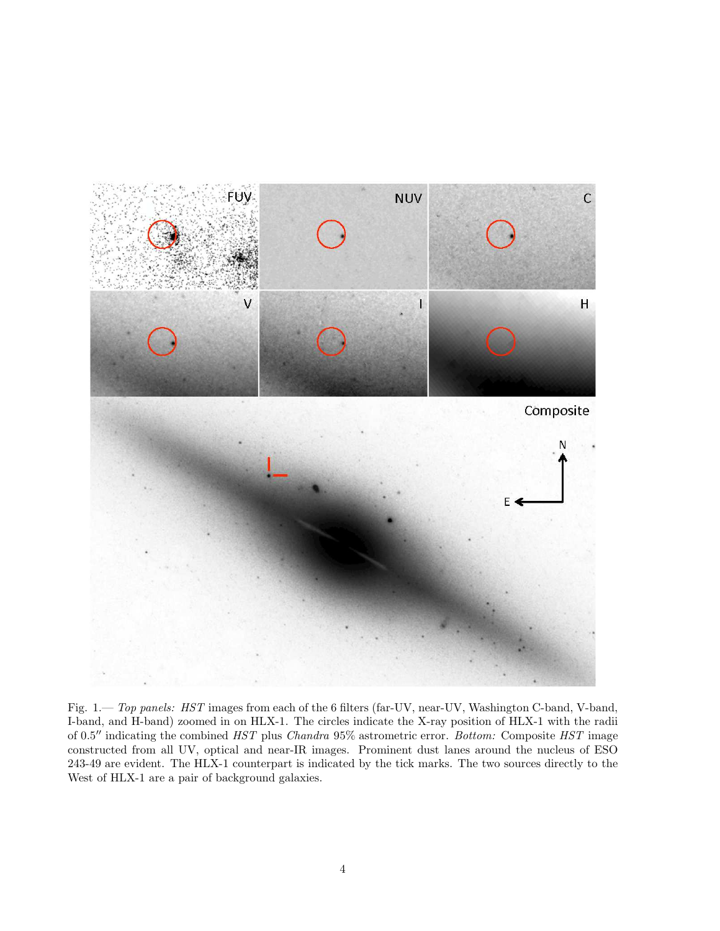

<span id="page-3-0"></span>Fig. 1.— Top panels: HST images from each of the 6 filters (far-UV, near-UV, Washington C-band, V-band, I-band, and H-band) zoomed in on HLX-1. The circles indicate the X-ray position of HLX-1 with the radii of 0.5′′ indicating the combined HST plus Chandra 95% astrometric error. Bottom: Composite HST image constructed from all UV, optical and near-IR images. Prominent dust lanes around the nucleus of ESO 243-49 are evident. The HLX-1 counterpart is indicated by the tick marks. The two sources directly to the West of HLX-1 are a pair of background galaxies.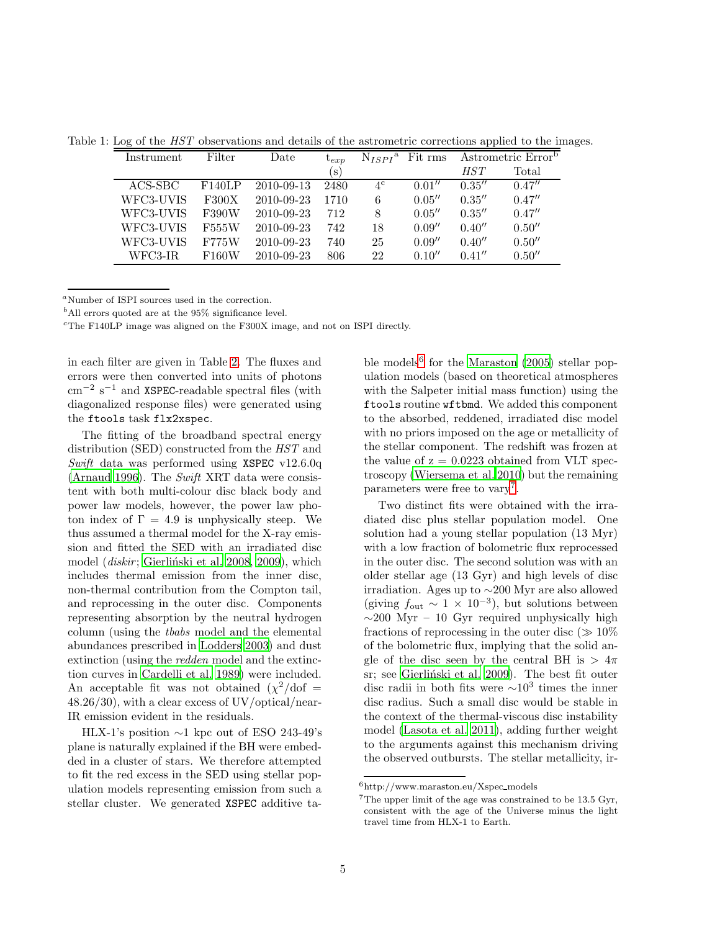Table 1: Log of the *HST* observations and details of the astrometric corrections applied to the images.

<span id="page-4-0"></span>

| Instrument | Filter | Date       | $\iota_{exp}$        | $N_{ISPI}^{\text{a}}$ | Fit rms | Astrometric Error <sup>b</sup> |        |
|------------|--------|------------|----------------------|-----------------------|---------|--------------------------------|--------|
|            |        |            | $\left($ S $\right)$ |                       |         | <i>HST</i>                     | Total  |
| ACS-SBC    | F140LP | 2010-09-13 | 2480                 | $4^{\rm c}$           | 0.01''  | 0.35''                         | 0.47'' |
| WFC3-UVIS  | F300X  | 2010-09-23 | 1710                 | 6                     | 0.05''  | 0.35''                         | 0.47'' |
| WFC3-UVIS  | F390W  | 2010-09-23 | 712                  | 8                     | 0.05''  | 0.35''                         | 0.47'' |
| WFC3-UVIS  | F555W  | 2010-09-23 | 742                  | 18                    | 0.09''  | 0.40''                         | 0.50'' |
| WFC3-UVIS  | F775W  | 2010-09-23 | 740                  | 25                    | 0.09''  | 0.40''                         | 0.50'' |
| WFC3-IR    | F160W  | 2010-09-23 | 806                  | 22                    | 0.10''  | 0.41''                         | 0.50'' |

<sup>a</sup>Number of ISPI sources used in the correction.

 $<sup>b</sup>$ All errors quoted are at the 95% significance level.</sup>

 $c$ <sup>c</sup>The F140LP image was aligned on the F300X image, and not on ISPI directly.

in each filter are given in Table [2.](#page-5-0) The fluxes and errors were then converted into units of photons cm<sup>−</sup><sup>2</sup> s <sup>−</sup><sup>1</sup> and XSPEC-readable spectral files (with diagonalized response files) were generated using the ftools task flx2xspec.

The fitting of the broadband spectral energy distribution (SED) constructed from the HST and Swift data was performed using XSPEC v12.6.0q [\(Arnaud 1996\)](#page-8-4). The Swift XRT data were consistent with both multi-colour disc black body and power law models, however, the power law photon index of  $\Gamma = 4.9$  is unphysically steep. We thus assumed a thermal model for the X-ray emission and fitted the SED with an irradiated disc model (*diskir*; Gierliński et al. 2008, [2009\)](#page-9-20), which includes thermal emission from the inner disc, non-thermal contribution from the Compton tail, and reprocessing in the outer disc. Components representing absorption by the neutral hydrogen column (using the tbabs model and the elemental abundances prescribed in [Lodders 2003\)](#page-9-21) and dust extinction (using the redden model and the extinction curves in [Cardelli et al. 1989\)](#page-8-5) were included. An acceptable fit was not obtained  $(\chi^2/\text{dof} =$ 48.26/30), with a clear excess of UV/optical/near-IR emission evident in the residuals.

HLX-1's position  $\sim$ 1 kpc out of ESO 243-49's plane is naturally explained if the BH were embedded in a cluster of stars. We therefore attempted to fit the red excess in the SED using stellar population models representing emission from such a stellar cluster. We generated XSPEC additive ta-

ble models<sup>[6](#page-4-1)</sup> for the [Maraston \(2005\)](#page-9-22) stellar population models (based on theoretical atmospheres with the Salpeter initial mass function) using the ftools routine wftbmd. We added this component to the absorbed, reddened, irradiated disc model with no priors imposed on the age or metallicity of the stellar component. The redshift was frozen at the value of  $z = 0.0223$  obtained from VLT spectroscopy [\(Wiersema et al. 2010\)](#page-9-9) but the remaining parameters were free to vary<sup>[7](#page-4-2)</sup>.

Two distinct fits were obtained with the irradiated disc plus stellar population model. One solution had a young stellar population (13 Myr) with a low fraction of bolometric flux reprocessed in the outer disc. The second solution was with an older stellar age (13 Gyr) and high levels of disc irradiation. Ages up to ∼200 Myr are also allowed (giving  $f_{\text{out}} \sim 1 \times 10^{-3}$ ), but solutions between  $\sim$ 200 Myr – 10 Gyr required unphysically high fractions of reprocessing in the outer disc  $($   $\gg$  10<sup> $\%$ </sup> of the bolometric flux, implying that the solid angle of the disc seen by the central BH is  $> 4\pi$ sr; see Gierliński et al. 2009). The best fit outer disc radii in both fits were  $\sim 10^3$  times the inner disc radius. Such a small disc would be stable in the context of the thermal-viscous disc instability model [\(Lasota et al. 2011\)](#page-9-13), adding further weight to the arguments against this mechanism driving the observed outbursts. The stellar metallicity, ir-

<sup>6</sup>http://www.maraston.eu/Xspec models

<span id="page-4-2"></span><span id="page-4-1"></span><sup>7</sup>The upper limit of the age was constrained to be 13.5 Gyr, consistent with the age of the Universe minus the light travel time from HLX-1 to Earth.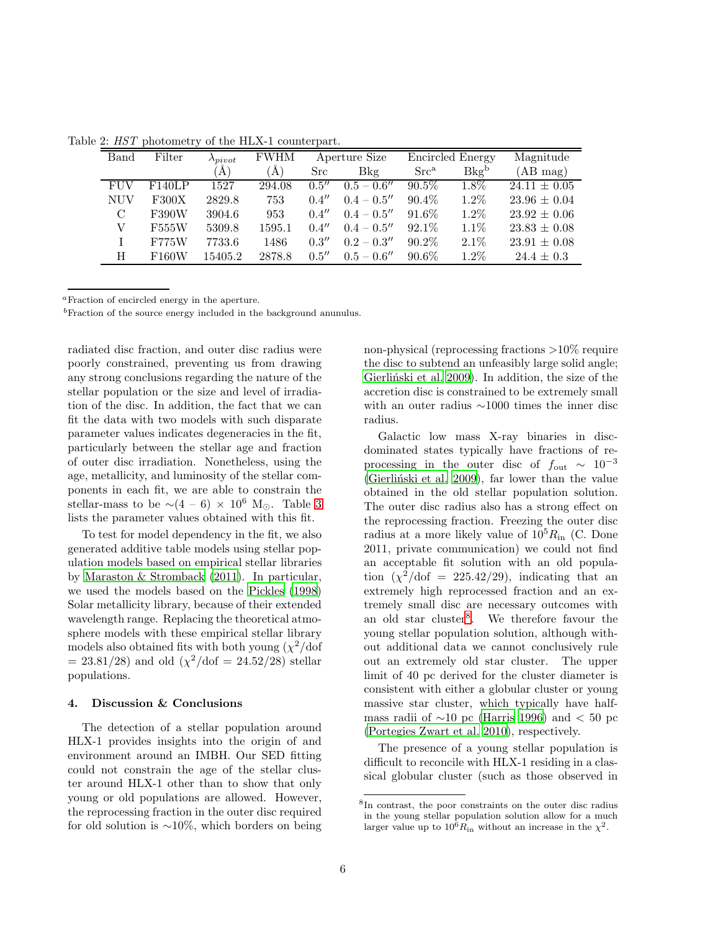<span id="page-5-0"></span>

| Band       | Filter       | $\lambda_{pivot}$ | <b>FWHM</b> | Aperture Size |               | Encircled Energy |         | Magnitude        |
|------------|--------------|-------------------|-------------|---------------|---------------|------------------|---------|------------------|
|            |              | `Å`               | (A)         | Src           | Bkg           | $Src^a$          | $Bkg^b$ | (AB mag)         |
| FUV        | F140LP       | 1527              | 294.08      | 0.5''         | $0.5 - 0.6''$ | $90.5\%$         | $1.8\%$ | $24.11 \pm 0.05$ |
| <b>NUV</b> | <b>F300X</b> | 2829.8            | 753         | 0.4''         | $0.4 - 0.5''$ | $90.4\%$         | $1.2\%$ | $23.96 \pm 0.04$ |
| C          | F390W        | 3904.6            | 953         | 0.4''         | $0.4 - 0.5''$ | 91.6\%           | $1.2\%$ | $23.92 \pm 0.06$ |
| V          | F555W        | 5309.8            | 1595.1      | 0.4''         | $0.4 - 0.5''$ | $92.1\%$         | $1.1\%$ | $23.83 \pm 0.08$ |
| L          | <b>F775W</b> | 7733.6            | 1486        | 0.3''         | $0.2 - 0.3''$ | $90.2\%$         | $2.1\%$ | $23.91 \pm 0.08$ |
| H          | F160W        | 15405.2           | 2878.8      | 0.5''         | $0.5 - 0.6''$ | $90.6\%$         | $1.2\%$ | $24.4 \pm 0.3$   |

Table 2: HST photometry of the HLX-1 counterpart.

<sup>a</sup>Fraction of encircled energy in the aperture.

<sup>b</sup>Fraction of the source energy included in the background anunulus.

radiated disc fraction, and outer disc radius were poorly constrained, preventing us from drawing any strong conclusions regarding the nature of the stellar population or the size and level of irradiation of the disc. In addition, the fact that we can fit the data with two models with such disparate parameter values indicates degeneracies in the fit, particularly between the stellar age and fraction of outer disc irradiation. Nonetheless, using the age, metallicity, and luminosity of the stellar components in each fit, we are able to constrain the stellar-mass to be  $∼(4-6) × 10^6$  M<sub>☉</sub>. Table [3](#page-6-0) lists the parameter values obtained with this fit.

To test for model dependency in the fit, we also generated additive table models using stellar population models based on empirical stellar libraries by [Maraston & Stromback \(2011\)](#page-9-23). In particular, we used the models based on the [Pickles \(1998\)](#page-9-24) Solar metallicity library, because of their extended wavelength range. Replacing the theoretical atmosphere models with these empirical stellar library models also obtained fits with both young  $(\chi^2/dof)$  $= 23.81/28$  and old  $(\chi^2/\text{dof} = 24.52/28)$  stellar populations.

#### 4. Discussion & Conclusions

The detection of a stellar population around HLX-1 provides insights into the origin of and environment around an IMBH. Our SED fitting could not constrain the age of the stellar cluster around HLX-1 other than to show that only young or old populations are allowed. However, the reprocessing fraction in the outer disc required for old solution is ∼10%, which borders on being non-physical (reprocessing fractions >10% require the disc to subtend an unfeasibly large solid angle; Gierlinski et al. 2009). In addition, the size of the accretion disc is constrained to be extremely small with an outer radius ∼1000 times the inner disc radius.

Galactic low mass X-ray binaries in discdominated states typically have fractions of reprocessing in the outer disc of  $f_{\text{out}} \sim 10^{-3}$ (Gierliński et al. 2009), far lower than the value obtained in the old stellar population solution. The outer disc radius also has a strong effect on the reprocessing fraction. Freezing the outer disc radius at a more likely value of  $10^5 R_{\rm in}$  (C. Done 2011, private communication) we could not find an acceptable fit solution with an old population  $(\chi^2/\text{dof} = 225.42/29)$ , indicating that an extremely high reprocessed fraction and an extremely small disc are necessary outcomes with an old star cluster<sup>[8](#page-5-1)</sup>. We therefore favour the young stellar population solution, although without additional data we cannot conclusively rule out an extremely old star cluster. The upper limit of 40 pc derived for the cluster diameter is consistent with either a globular cluster or young massive star cluster, which typically have halfmass radii of  $\sim$ 10 pc [\(Harris 1996\)](#page-9-25) and < 50 pc [\(Portegies Zwart et al. 2010](#page-9-26)), respectively.

The presence of a young stellar population is difficult to reconcile with HLX-1 residing in a classical globular cluster (such as those observed in

<span id="page-5-1"></span><sup>8</sup> In contrast, the poor constraints on the outer disc radius in the young stellar population solution allow for a much larger value up to  $10^6 R_{\rm in}$  without an increase in the  $\chi^2$ .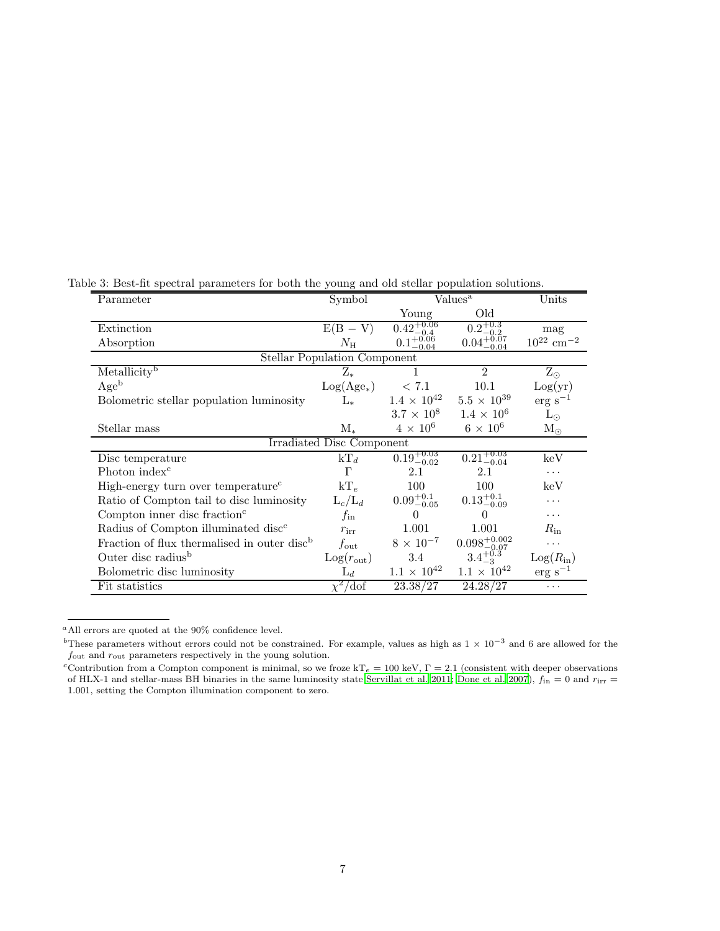<span id="page-6-0"></span>

| Parameter                                               | Symbol                | $\text{Values}^{\overline{\mathbf{a}}}$ |                          | Units                      |  |  |  |  |
|---------------------------------------------------------|-----------------------|-----------------------------------------|--------------------------|----------------------------|--|--|--|--|
|                                                         |                       | Young                                   | Old                      |                            |  |  |  |  |
| Extinction                                              | $E(B - V)$            | $0.42^{+0.06}_{-0.4}$                   | $0.2^{+0.3}_{-0.2}$      | mag                        |  |  |  |  |
| Absorption                                              | $N_{\rm H}$           | $0.1^{+0.06}_{-0.06}$                   | $0.04^{+0.07}_{-0.07}$   | $10^{22}~\mathrm{cm^{-2}}$ |  |  |  |  |
| <b>Stellar Population Component</b>                     |                       |                                         |                          |                            |  |  |  |  |
| Metallicity <sup>b</sup>                                | $Z_*$                 |                                         | $\mathfrak{D}$           | $Z_{\odot}$                |  |  |  |  |
| Age <sup>b</sup>                                        | $Log(Age_*)$          | < 7.1                                   | 10.1                     | Log(yr)                    |  |  |  |  |
| Bolometric stellar population luminosity                | $L_{*}$               | $1.4 \times 10^{42}$                    | $5.5 \times 10^{39}$     | $erg s^{-1}$               |  |  |  |  |
|                                                         |                       | $3.7 \times 10^8$                       | $1.4 \times 10^{6}$      | $L_{\odot}$                |  |  |  |  |
| Stellar mass                                            | $M_{*}$               | $4 \times 10^6$                         | $6 \times 10^6$          | $\rm M_{\odot}$            |  |  |  |  |
| Irradiated Disc Component                               |                       |                                         |                          |                            |  |  |  |  |
| Disc temperature                                        | $kT_d$                | $0.19^{+0.03}_{-0.02}$                  | $0.21_{-0.04}^{+0.03}$   | $\rm\thinspace keV$        |  |  |  |  |
| Photon index <sup>c</sup>                               | Г                     | 2.1                                     | 2.1                      | .                          |  |  |  |  |
| High-energy turn over temperature <sup>c</sup>          | $kT_e$                | 100                                     | 100                      | keV                        |  |  |  |  |
| Ratio of Compton tail to disc luminosity                | $L_c/L_d$             | $0.09_{-0.05}^{+0.1}$                   | $0.13_{-0.09}^{+0.1}$    | .                          |  |  |  |  |
| Compton inner disc fraction $\epsilon$                  | $f_{\rm in}$          | $\Omega$                                | 0                        | .                          |  |  |  |  |
| Radius of Compton illuminated disc <sup>c</sup>         | $r_{\rm irr}$         | 1.001                                   | 1.001                    | $R_{\rm in}$               |  |  |  |  |
| Fraction of flux thermalised in outer disc <sup>b</sup> | $f_{\rm out}$         | $8 \times 10^{-7}$                      | $0.098^{+0.002}_{-0.07}$ | .                          |  |  |  |  |
| Outer disc radius <sup>b</sup>                          | $Log(r_{\text{out}})$ | 3.4                                     | $3.4^{+0.3}_{-3}$        | $Log(R_{in})$              |  |  |  |  |
| Bolometric disc luminosity                              | $L_d$                 | $1.1 \times 10^{42}$                    | $1.1 \times 10^{42}$     | $erg s^{-1}$               |  |  |  |  |
| Fit statistics                                          | $\chi^2/\text{dof}$   | 23.38/27                                | 24.28/27                 | $\cdots$                   |  |  |  |  |

## Table 3: Best-fit spectral parameters for both the young and old stellar population solutions.

 $^a\mathrm{All}$  errors are quoted at the 90% confidence level.

<sup>&</sup>lt;sup>b</sup>These parameters without errors could not be constrained. For example, values as high as  $1 \times 10^{-3}$  and 6 are allowed for the  $f_{\rm out}$  and  $r_{\rm out}$  parameters respectively in the young solution.

<sup>&</sup>lt;sup>c</sup>Contribution from a Compton component is minimal, so we froze kT<sub>e</sub> = 100 keV,  $\Gamma$  = 2.1 (consistent with deeper observations of HLX-1 and stellar-mass BH binaries in the same luminosity state [Servillat et al. 2011;](#page-9-11) [Done et al. 2007](#page-9-27)),  $f_{\text{in}} = 0$  and  $r_{\text{irr}} =$ 1.001, setting the Compton illumination component to zero.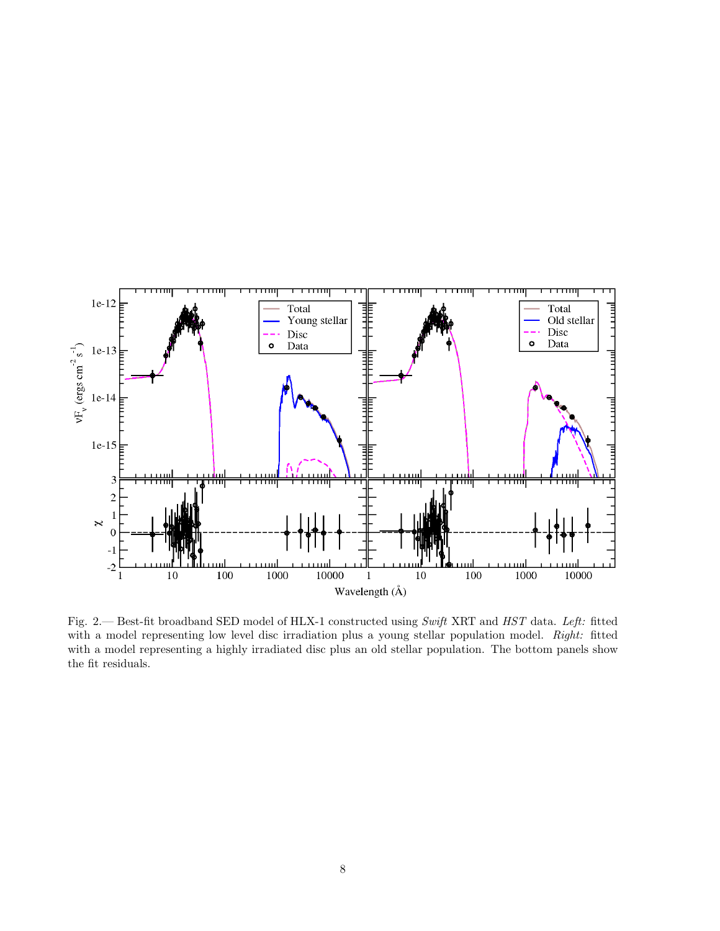

Fig. 2.— Best-fit broadband SED model of HLX-1 constructed using Swift XRT and HST data. Left: fitted with a model representing low level disc irradiation plus a young stellar population model. Right: fitted with a model representing a highly irradiated disc plus an old stellar population. The bottom panels show the fit residuals.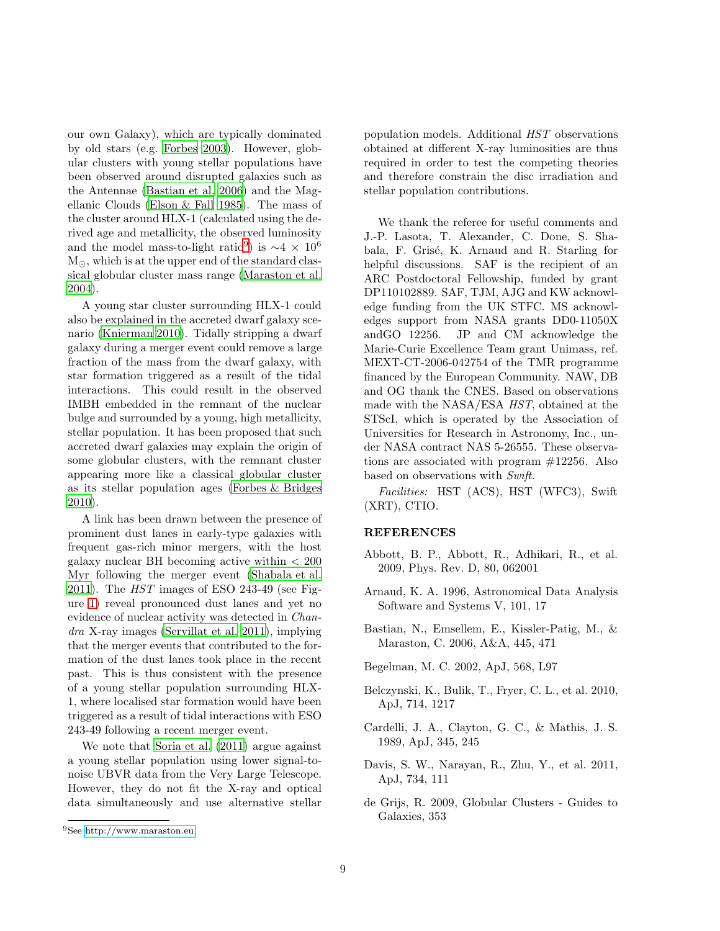our own Galaxy), which are typically dominated by old stars (e.g. [Forbes 2003\)](#page-9-28). However, globular clusters with young stellar populations have been observed around disrupted galaxies such as the Antennae [\(Bastian et al. 2006\)](#page-8-6) and the Magellanic Clouds [\(Elson & Fall 1985\)](#page-9-29). The mass of the cluster around HLX-1 (calculated using the derived age and metallicity, the observed luminosity and the model mass-to-light ratio<sup>[9](#page-9-30)</sup>) is  $\sim$ 4 × 10<sup>6</sup> M<sub>☉</sub>, which is at the upper end of the standard classical globular cluster mass range [\(Maraston et al.](#page-9-31) [2004\)](#page-9-31).

A young star cluster surrounding HLX-1 could also be explained in the accreted dwarf galaxy scenario [\(Knierman 2010](#page-9-32)). Tidally stripping a dwarf galaxy during a merger event could remove a large fraction of the mass from the dwarf galaxy, with star formation triggered as a result of the tidal interactions. This could result in the observed IMBH embedded in the remnant of the nuclear bulge and surrounded by a young, high metallicity, stellar population. It has been proposed that such accreted dwarf galaxies may explain the origin of some globular clusters, with the remnant cluster appearing more like a classical globular cluster as its stellar population ages [\(Forbes & Bridges](#page-9-33) [2010\)](#page-9-33).

A link has been drawn between the presence of prominent dust lanes in early-type galaxies with frequent gas-rich minor mergers, with the host galaxy nuclear BH becoming active within  $\lt$  200 Myr following the merger event [\(Shabala et al.](#page-9-34) [2011\)](#page-9-34). The HST images of ESO 243-49 (see Figure [1\)](#page-3-0) reveal pronounced dust lanes and yet no evidence of nuclear activity was detected in Chandra X-ray images [\(Servillat et al. 2011\)](#page-9-11), implying that the merger events that contributed to the formation of the dust lanes took place in the recent past. This is thus consistent with the presence of a young stellar population surrounding HLX-1, where localised star formation would have been triggered as a result of tidal interactions with ESO 243-49 following a recent merger event.

We note that [Soria et al. \(2011](#page-9-35)) argue against a young stellar population using lower signal-tonoise UBVR data from the Very Large Telescope. However, they do not fit the X-ray and optical data simultaneously and use alternative stellar population models. Additional HST observations obtained at different X-ray luminosities are thus required in order to test the competing theories and therefore constrain the disc irradiation and stellar population contributions.

We thank the referee for useful comments and J.-P. Lasota, T. Alexander, C. Done, S. Shabala, F. Grisé, K. Arnaud and R. Starling for helpful discussions. SAF is the recipient of an ARC Postdoctoral Fellowship, funded by grant DP110102889. SAF, TJM, AJG and KW acknowledge funding from the UK STFC. MS acknowledges support from NASA grants DD0-11050X andGO 12256. JP and CM acknowledge the Marie-Curie Excellence Team grant Unimass, ref. MEXT-CT-2006-042754 of the TMR programme financed by the European Community. NAW, DB and OG thank the CNES. Based on observations made with the NASA/ESA HST, obtained at the STScI, which is operated by the Association of Universities for Research in Astronomy, Inc., under NASA contract NAS 5-26555. These observations are associated with program #12256. Also based on observations with Swift.

Facilities: HST (ACS), HST (WFC3), Swift (XRT), CTIO.

## REFERENCES

- <span id="page-8-1"></span>Abbott, B. P., Abbott, R., Adhikari, R., et al. 2009, Phys. Rev. D, 80, 062001
- <span id="page-8-4"></span>Arnaud, K. A. 1996, Astronomical Data Analysis Software and Systems V, 101, 17
- <span id="page-8-6"></span>Bastian, N., Emsellem, E., Kissler-Patig, M., & Maraston, C. 2006, A&A, 445, 471
- <span id="page-8-2"></span>Begelman, M. C. 2002, ApJ, 568, L97
- <span id="page-8-0"></span>Belczynski, K., Bulik, T., Fryer, C. L., et al. 2010, ApJ, 714, 1217
- <span id="page-8-5"></span>Cardelli, J. A., Clayton, G. C., & Mathis, J. S. 1989, ApJ, 345, 245
- <span id="page-8-3"></span>Davis, S. W., Narayan, R., Zhu, Y., et al. 2011, ApJ, 734, 111
- de Grijs, R. 2009, Globular Clusters Guides to Galaxies, 353

<sup>9</sup>See<http://www.maraston.eu>